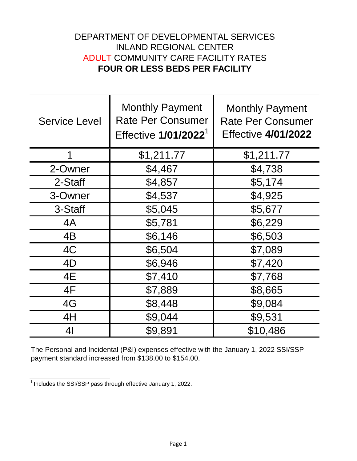## DEPARTMENT OF DEVELOPMENTAL SERVICES INLAND REGIONAL CENTER ADULT COMMUNITY CARE FACILITY RATES **FOUR OR LESS BEDS PER FACILITY**

| <b>Service Level</b> | <b>Monthly Payment</b><br><b>Rate Per Consumer</b><br>Effective 1/01/2022 <sup>1</sup> | <b>Monthly Payment</b><br><b>Rate Per Consumer</b><br><b>Effective 4/01/2022</b> |
|----------------------|----------------------------------------------------------------------------------------|----------------------------------------------------------------------------------|
| 1                    | \$1,211.77                                                                             | \$1,211.77                                                                       |
| 2-Owner              | \$4,467                                                                                | \$4,738                                                                          |
| 2-Staff              | \$4,857                                                                                | \$5,174                                                                          |
| 3-Owner              | \$4,537                                                                                | \$4,925                                                                          |
| 3-Staff              | \$5,045                                                                                | \$5,677                                                                          |
| 4A                   | \$5,781                                                                                | \$6,229                                                                          |
| 4B                   | \$6,146                                                                                | \$6,503                                                                          |
| 4C                   | \$6,504                                                                                | \$7,089                                                                          |
| 4D                   | \$6,946                                                                                | \$7,420                                                                          |
| 4E                   | \$7,410                                                                                | \$7,768                                                                          |
| 4F                   | \$7,889                                                                                | \$8,665                                                                          |
| 4G                   | \$8,448                                                                                | \$9,084                                                                          |
| 4H                   | \$9,044                                                                                | \$9,531                                                                          |
| 4 <sub>l</sub>       | \$9,891                                                                                | \$10,486                                                                         |

The Personal and Incidental (P&I) expenses effective with the January 1, 2022 SSI/SSP payment standard increased from \$138.00 to \$154.00.

 $\frac{1}{1}$  Includes the SSI/SSP pass through effective January 1, 2022.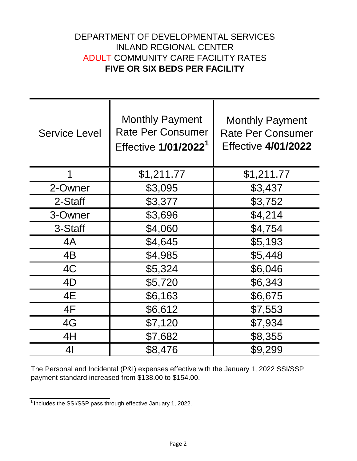## DEPARTMENT OF DEVELOPMENTAL SERVICES INLAND REGIONAL CENTER ADULT COMMUNITY CARE FACILITY RATES **FIVE OR SIX BEDS PER FACILITY**

| <b>Service Level</b> | <b>Monthly Payment</b><br><b>Rate Per Consumer</b><br>Effective 1/01/2022 <sup>1</sup> | <b>Monthly Payment</b><br><b>Rate Per Consumer</b><br><b>Effective 4/01/2022</b> |
|----------------------|----------------------------------------------------------------------------------------|----------------------------------------------------------------------------------|
| 1                    | \$1,211.77                                                                             | \$1,211.77                                                                       |
| 2-Owner              | \$3,095                                                                                | \$3,437                                                                          |
| 2-Staff              | \$3,377                                                                                | \$3,752                                                                          |
| 3-Owner              | \$3,696                                                                                | \$4,214                                                                          |
| 3-Staff              | \$4,060                                                                                | \$4,754                                                                          |
| 4A                   | \$4,645                                                                                | \$5,193                                                                          |
| 4B                   | \$4,985                                                                                | \$5,448                                                                          |
| 4C                   | \$5,324                                                                                | \$6,046                                                                          |
| 4D                   | \$5,720                                                                                | \$6,343                                                                          |
| 4E                   | \$6,163                                                                                | \$6,675                                                                          |
| 4F                   | \$6,612                                                                                | \$7,553                                                                          |
| 4G                   | \$7,120                                                                                | \$7,934                                                                          |
| 4H                   | \$7,682                                                                                | \$8,355                                                                          |
| 41                   | \$8,476                                                                                | \$9,299                                                                          |

The Personal and Incidental (P&I) expenses effective with the January 1, 2022 SSI/SSP payment standard increased from \$138.00 to \$154.00.

 $\frac{1}{1}$  Includes the SSI/SSP pass through effective January 1, 2022.